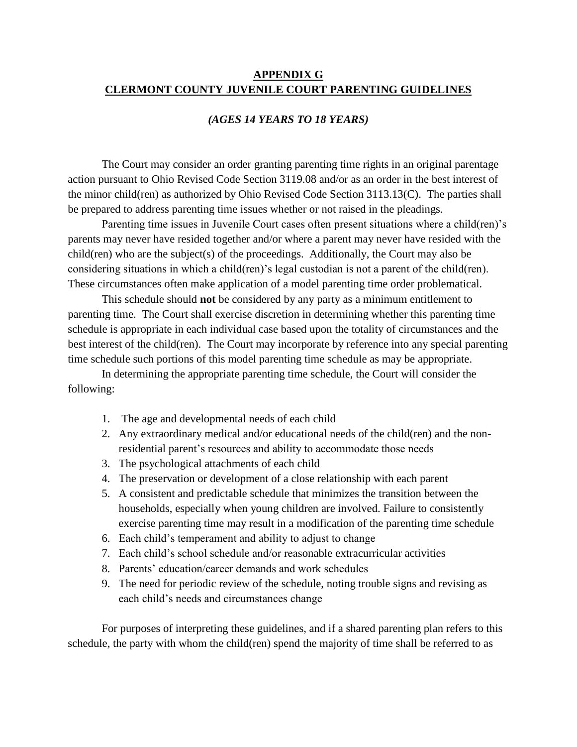#### **APPENDIX G CLERMONT COUNTY JUVENILE COURT PARENTING GUIDELINES**

#### *(AGES 14 YEARS TO 18 YEARS)*

The Court may consider an order granting parenting time rights in an original parentage action pursuant to Ohio Revised Code Section 3119.08 and/or as an order in the best interest of the minor child(ren) as authorized by Ohio Revised Code Section 3113.13(C). The parties shall be prepared to address parenting time issues whether or not raised in the pleadings.

Parenting time issues in Juvenile Court cases often present situations where a child(ren)'s parents may never have resided together and/or where a parent may never have resided with the child(ren) who are the subject(s) of the proceedings. Additionally, the Court may also be considering situations in which a child(ren)'s legal custodian is not a parent of the child(ren). These circumstances often make application of a model parenting time order problematical.

This schedule should **not** be considered by any party as a minimum entitlement to parenting time. The Court shall exercise discretion in determining whether this parenting time schedule is appropriate in each individual case based upon the totality of circumstances and the best interest of the child(ren). The Court may incorporate by reference into any special parenting time schedule such portions of this model parenting time schedule as may be appropriate.

In determining the appropriate parenting time schedule, the Court will consider the following:

- 1. The age and developmental needs of each child
- 2. Any extraordinary medical and/or educational needs of the child(ren) and the nonresidential parent's resources and ability to accommodate those needs
- 3. The psychological attachments of each child
- 4. The preservation or development of a close relationship with each parent
- 5. A consistent and predictable schedule that minimizes the transition between the households, especially when young children are involved. Failure to consistently exercise parenting time may result in a modification of the parenting time schedule
- 6. Each child's temperament and ability to adjust to change
- 7. Each child's school schedule and/or reasonable extracurricular activities
- 8. Parents' education/career demands and work schedules
- 9. The need for periodic review of the schedule, noting trouble signs and revising as each child's needs and circumstances change

For purposes of interpreting these guidelines, and if a shared parenting plan refers to this schedule, the party with whom the child(ren) spend the majority of time shall be referred to as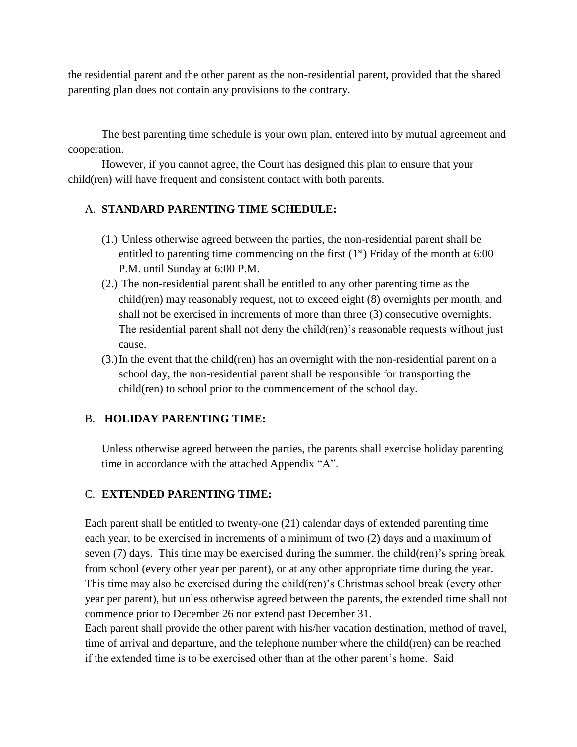the residential parent and the other parent as the non-residential parent, provided that the shared parenting plan does not contain any provisions to the contrary.

The best parenting time schedule is your own plan, entered into by mutual agreement and cooperation.

However, if you cannot agree, the Court has designed this plan to ensure that your child(ren) will have frequent and consistent contact with both parents.

## A. **STANDARD PARENTING TIME SCHEDULE:**

- (1.) Unless otherwise agreed between the parties, the non-residential parent shall be entitled to parenting time commencing on the first  $(1<sup>st</sup>)$  Friday of the month at 6:00 P.M. until Sunday at 6:00 P.M.
- (2.) The non-residential parent shall be entitled to any other parenting time as the child(ren) may reasonably request, not to exceed eight (8) overnights per month, and shall not be exercised in increments of more than three (3) consecutive overnights. The residential parent shall not deny the child(ren)'s reasonable requests without just cause.
- (3.)In the event that the child(ren) has an overnight with the non-residential parent on a school day, the non-residential parent shall be responsible for transporting the child(ren) to school prior to the commencement of the school day.

## B. **HOLIDAY PARENTING TIME:**

Unless otherwise agreed between the parties, the parents shall exercise holiday parenting time in accordance with the attached Appendix "A".

## C. **EXTENDED PARENTING TIME:**

Each parent shall be entitled to twenty-one (21) calendar days of extended parenting time each year, to be exercised in increments of a minimum of two (2) days and a maximum of seven (7) days. This time may be exercised during the summer, the child(ren)'s spring break from school (every other year per parent), or at any other appropriate time during the year. This time may also be exercised during the child(ren)'s Christmas school break (every other year per parent), but unless otherwise agreed between the parents, the extended time shall not commence prior to December 26 nor extend past December 31.

Each parent shall provide the other parent with his/her vacation destination, method of travel, time of arrival and departure, and the telephone number where the child(ren) can be reached if the extended time is to be exercised other than at the other parent's home. Said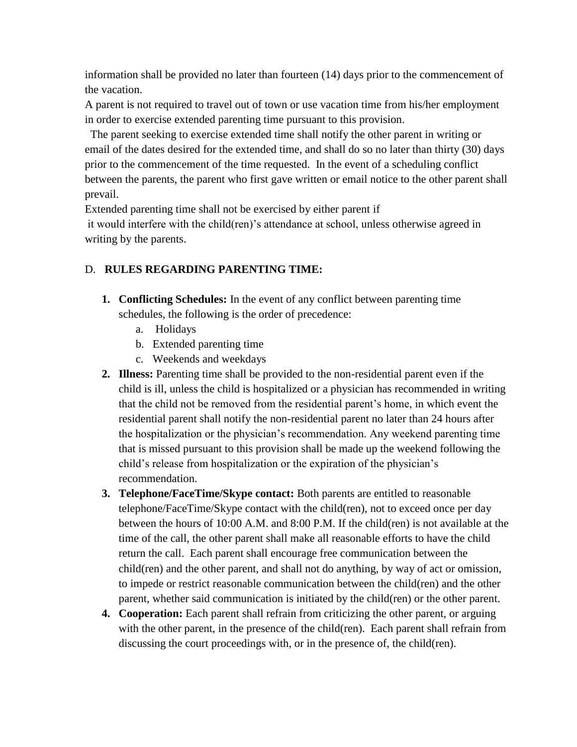information shall be provided no later than fourteen (14) days prior to the commencement of the vacation.

A parent is not required to travel out of town or use vacation time from his/her employment in order to exercise extended parenting time pursuant to this provision.

 The parent seeking to exercise extended time shall notify the other parent in writing or email of the dates desired for the extended time, and shall do so no later than thirty (30) days prior to the commencement of the time requested. In the event of a scheduling conflict between the parents, the parent who first gave written or email notice to the other parent shall prevail.

Extended parenting time shall not be exercised by either parent if

it would interfere with the child(ren)'s attendance at school, unless otherwise agreed in writing by the parents.

# D. **RULES REGARDING PARENTING TIME:**

- **1. Conflicting Schedules:** In the event of any conflict between parenting time schedules, the following is the order of precedence:
	- a. Holidays
	- b. Extended parenting time
	- c. Weekends and weekdays
- **2. Illness:** Parenting time shall be provided to the non-residential parent even if the child is ill, unless the child is hospitalized or a physician has recommended in writing that the child not be removed from the residential parent's home, in which event the residential parent shall notify the non-residential parent no later than 24 hours after the hospitalization or the physician's recommendation. Any weekend parenting time that is missed pursuant to this provision shall be made up the weekend following the child's release from hospitalization or the expiration of the physician's recommendation.
- **3. Telephone/FaceTime/Skype contact:** Both parents are entitled to reasonable telephone/FaceTime/Skype contact with the child(ren), not to exceed once per day between the hours of 10:00 A.M. and 8:00 P.M. If the child(ren) is not available at the time of the call, the other parent shall make all reasonable efforts to have the child return the call. Each parent shall encourage free communication between the child(ren) and the other parent, and shall not do anything, by way of act or omission, to impede or restrict reasonable communication between the child(ren) and the other parent, whether said communication is initiated by the child(ren) or the other parent.
- **4. Cooperation:** Each parent shall refrain from criticizing the other parent, or arguing with the other parent, in the presence of the child(ren). Each parent shall refrain from discussing the court proceedings with, or in the presence of, the child(ren).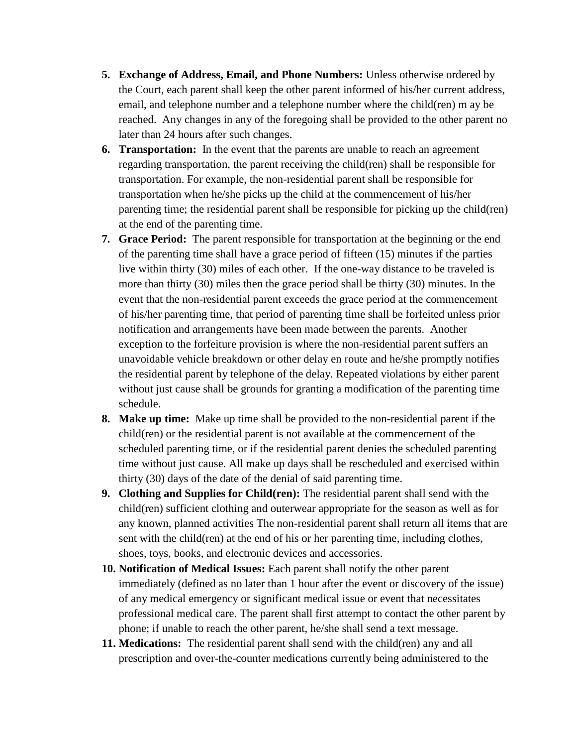- **5. Exchange of Address, Email, and Phone Numbers:** Unless otherwise ordered by the Court, each parent shall keep the other parent informed of his/her current address, email, and telephone number and a telephone number where the child(ren) m ay be reached. Any changes in any of the foregoing shall be provided to the other parent no later than 24 hours after such changes.
- **6. Transportation:** In the event that the parents are unable to reach an agreement regarding transportation, the parent receiving the child(ren) shall be responsible for transportation. For example, the non-residential parent shall be responsible for transportation when he/she picks up the child at the commencement of his/her parenting time; the residential parent shall be responsible for picking up the child(ren) at the end of the parenting time.
- **7. Grace Period:** The parent responsible for transportation at the beginning or the end of the parenting time shall have a grace period of fifteen (15) minutes if the parties live within thirty (30) miles of each other. If the one-way distance to be traveled is more than thirty (30) miles then the grace period shall be thirty (30) minutes. In the event that the non-residential parent exceeds the grace period at the commencement of his/her parenting time, that period of parenting time shall be forfeited unless prior notification and arrangements have been made between the parents. Another exception to the forfeiture provision is where the non-residential parent suffers an unavoidable vehicle breakdown or other delay en route and he/she promptly notifies the residential parent by telephone of the delay. Repeated violations by either parent without just cause shall be grounds for granting a modification of the parenting time schedule.
- **8. Make up time:** Make up time shall be provided to the non-residential parent if the child(ren) or the residential parent is not available at the commencement of the scheduled parenting time, or if the residential parent denies the scheduled parenting time without just cause. All make up days shall be rescheduled and exercised within thirty (30) days of the date of the denial of said parenting time.
- **9. Clothing and Supplies for Child(ren):** The residential parent shall send with the child(ren) sufficient clothing and outerwear appropriate for the season as well as for any known, planned activities The non-residential parent shall return all items that are sent with the child(ren) at the end of his or her parenting time, including clothes, shoes, toys, books, and electronic devices and accessories.
- **10. Notification of Medical Issues:** Each parent shall notify the other parent immediately (defined as no later than 1 hour after the event or discovery of the issue) of any medical emergency or significant medical issue or event that necessitates professional medical care. The parent shall first attempt to contact the other parent by phone; if unable to reach the other parent, he/she shall send a text message.
- **11. Medications:** The residential parent shall send with the child(ren) any and all prescription and over-the-counter medications currently being administered to the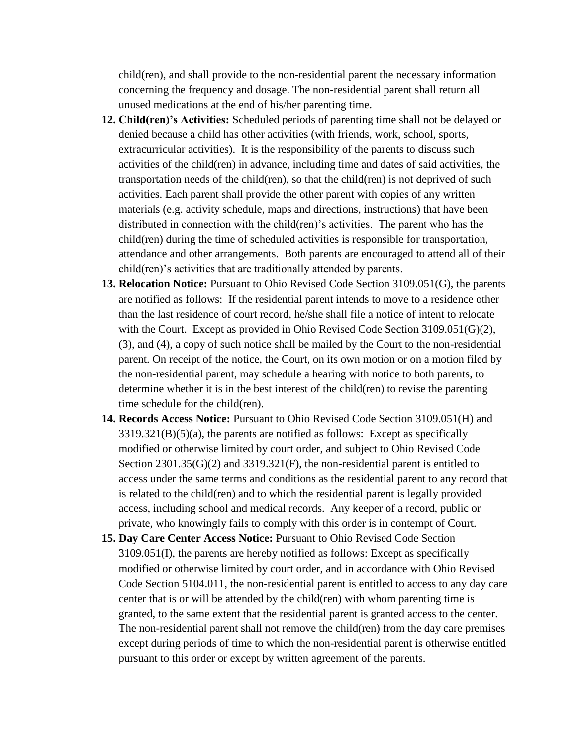child(ren), and shall provide to the non-residential parent the necessary information concerning the frequency and dosage. The non-residential parent shall return all unused medications at the end of his/her parenting time.

- **12. Child(ren)'s Activities:** Scheduled periods of parenting time shall not be delayed or denied because a child has other activities (with friends, work, school, sports, extracurricular activities). It is the responsibility of the parents to discuss such activities of the child(ren) in advance, including time and dates of said activities, the transportation needs of the child(ren), so that the child(ren) is not deprived of such activities. Each parent shall provide the other parent with copies of any written materials (e.g. activity schedule, maps and directions, instructions) that have been distributed in connection with the child(ren)'s activities. The parent who has the child(ren) during the time of scheduled activities is responsible for transportation, attendance and other arrangements. Both parents are encouraged to attend all of their child(ren)'s activities that are traditionally attended by parents.
- **13. Relocation Notice:** Pursuant to Ohio Revised Code Section 3109.051(G), the parents are notified as follows: If the residential parent intends to move to a residence other than the last residence of court record, he/she shall file a notice of intent to relocate with the Court. Except as provided in Ohio Revised Code Section 3109.051(G)(2), (3), and (4), a copy of such notice shall be mailed by the Court to the non-residential parent. On receipt of the notice, the Court, on its own motion or on a motion filed by the non-residential parent, may schedule a hearing with notice to both parents, to determine whether it is in the best interest of the child(ren) to revise the parenting time schedule for the child(ren).
- **14. Records Access Notice:** Pursuant to Ohio Revised Code Section 3109.051(H) and  $3319.321(B)(5)(a)$ , the parents are notified as follows: Except as specifically modified or otherwise limited by court order, and subject to Ohio Revised Code Section  $2301.35(G)(2)$  and  $3319.321(F)$ , the non-residential parent is entitled to access under the same terms and conditions as the residential parent to any record that is related to the child(ren) and to which the residential parent is legally provided access, including school and medical records. Any keeper of a record, public or private, who knowingly fails to comply with this order is in contempt of Court.
- **15. Day Care Center Access Notice:** Pursuant to Ohio Revised Code Section 3109.051(I), the parents are hereby notified as follows: Except as specifically modified or otherwise limited by court order, and in accordance with Ohio Revised Code Section 5104.011, the non-residential parent is entitled to access to any day care center that is or will be attended by the child(ren) with whom parenting time is granted, to the same extent that the residential parent is granted access to the center. The non-residential parent shall not remove the child(ren) from the day care premises except during periods of time to which the non-residential parent is otherwise entitled pursuant to this order or except by written agreement of the parents.